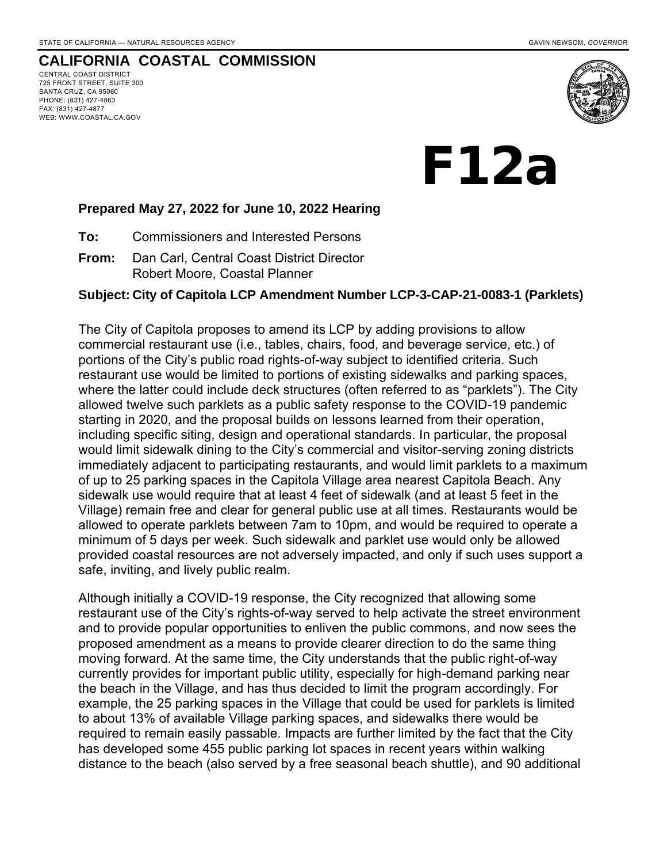### **CALIFORNIA COASTAL COMMISSION**

CENTRAL COAST DISTRICT 725 FRONT STREET, SUITE 300 SANTA CRUZ, CA 95060 PHONE: (831) 427-4863 FAX: (831) 427-4877 WEB: WWW.COASTAL.CA.GOV



F12a

#### **Prepared May 27, 2022 for June 10, 2022 Hearing**

**To:** Commissioners and Interested Persons

**From:** Dan Carl, Central Coast District Director Robert Moore, Coastal Planner

#### **Subject: City of Capitola LCP Amendment Number LCP-3-CAP-21-0083-1 (Parklets)**

The City of Capitola proposes to amend its LCP by adding provisions to allow commercial restaurant use (i.e., tables, chairs, food, and beverage service, etc.) of portions of the City's public road rights-of-way subject to identified criteria. Such restaurant use would be limited to portions of existing sidewalks and parking spaces, where the latter could include deck structures (often referred to as "parklets"). The City allowed twelve such parklets as a public safety response to the COVID-19 pandemic starting in 2020, and the proposal builds on lessons learned from their operation, including specific siting, design and operational standards. In particular, the proposal would limit sidewalk dining to the City's commercial and visitor-serving zoning districts immediately adjacent to participating restaurants, and would limit parklets to a maximum of up to 25 parking spaces in the Capitola Village area nearest Capitola Beach. Any sidewalk use would require that at least 4 feet of sidewalk (and at least 5 feet in the Village) remain free and clear for general public use at all times. Restaurants would be allowed to operate parklets between 7am to 10pm, and would be required to operate a minimum of 5 days per week. Such sidewalk and parklet use would only be allowed provided coastal resources are not adversely impacted, and only if such uses support a safe, inviting, and lively public realm.

Although initially a COVID-19 response, the City recognized that allowing some restaurant use of the City's rights-of-way served to help activate the street environment and to provide popular opportunities to enliven the public commons, and now sees the proposed amendment as a means to provide clearer direction to do the same thing moving forward. At the same time, the City understands that the public right-of-way currently provides for important public utility, especially for high-demand parking near the beach in the Village, and has thus decided to limit the program accordingly. For example, the 25 parking spaces in the Village that could be used for parklets is limited to about 13% of available Village parking spaces, and sidewalks there would be required to remain easily passable. Impacts are further limited by the fact that the City has developed some 455 public parking lot spaces in recent years within walking distance to the beach (also served by a free seasonal beach shuttle), and 90 additional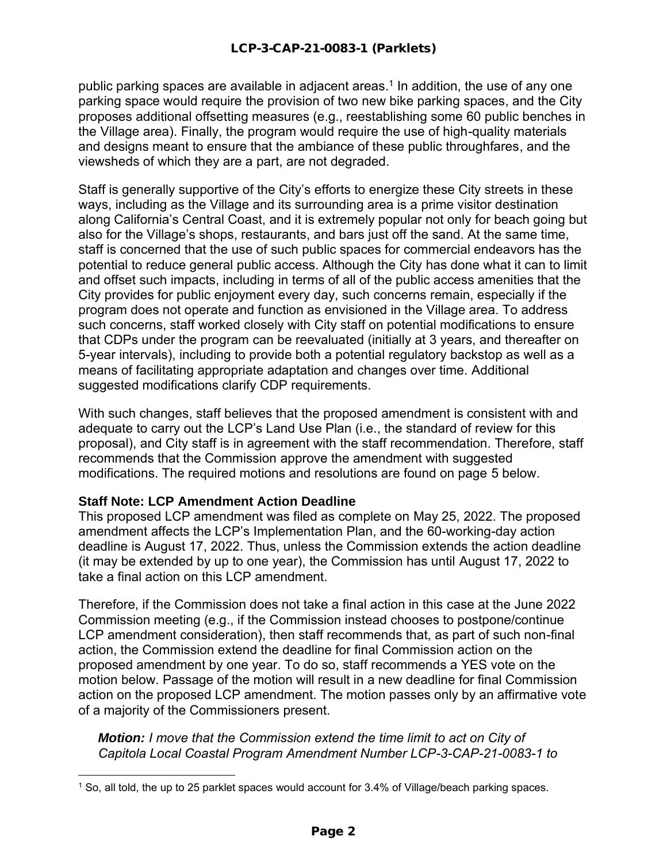public parking spaces are available in adjacent areas. 1 In addition, the use of any one parking space would require the provision of two new bike parking spaces, and the City proposes additional offsetting measures (e.g., reestablishing some 60 public benches in the Village area). Finally, the program would require the use of high-quality materials and designs meant to ensure that the ambiance of these public throughfares, and the viewsheds of which they are a part, are not degraded.

Staff is generally supportive of the City's efforts to energize these City streets in these ways, including as the Village and its surrounding area is a prime visitor destination along California's Central Coast, and it is extremely popular not only for beach going but also for the Village's shops, restaurants, and bars just off the sand. At the same time, staff is concerned that the use of such public spaces for commercial endeavors has the potential to reduce general public access. Although the City has done what it can to limit and offset such impacts, including in terms of all of the public access amenities that the City provides for public enjoyment every day, such concerns remain, especially if the program does not operate and function as envisioned in the Village area. To address such concerns, staff worked closely with City staff on potential modifications to ensure that CDPs under the program can be reevaluated (initially at 3 years, and thereafter on 5-year intervals), including to provide both a potential regulatory backstop as well as a means of facilitating appropriate adaptation and changes over time. Additional suggested modifications clarify CDP requirements.

With such changes, staff believes that the proposed amendment is consistent with and adequate to carry out the LCP's Land Use Plan (i.e., the standard of review for this proposal), and City staff is in agreement with the staff recommendation. Therefore, staff recommends that the Commission approve the amendment with suggested modifications. The required motions and resolutions are found on page 5 below.

### **Staff Note: LCP Amendment Action Deadline**

This proposed LCP amendment was filed as complete on May 25, 2022. The proposed amendment affects the LCP's Implementation Plan, and the 60-working-day action deadline is August 17, 2022. Thus, unless the Commission extends the action deadline (it may be extended by up to one year), the Commission has until August 17, 2022 to take a final action on this LCP amendment.

Therefore, if the Commission does not take a final action in this case at the June 2022 Commission meeting (e.g., if the Commission instead chooses to postpone/continue LCP amendment consideration), then staff recommends that, as part of such non-final action, the Commission extend the deadline for final Commission action on the proposed amendment by one year. To do so, staff recommends a YES vote on the motion below. Passage of the motion will result in a new deadline for final Commission action on the proposed LCP amendment. The motion passes only by an affirmative vote of a majority of the Commissioners present.

*Motion: I move that the Commission extend the time limit to act on City of Capitola Local Coastal Program Amendment Number LCP-3-CAP-21-0083-1 to* 

<sup>1</sup> So, all told, the up to 25 parklet spaces would account for 3.4% of Village/beach parking spaces.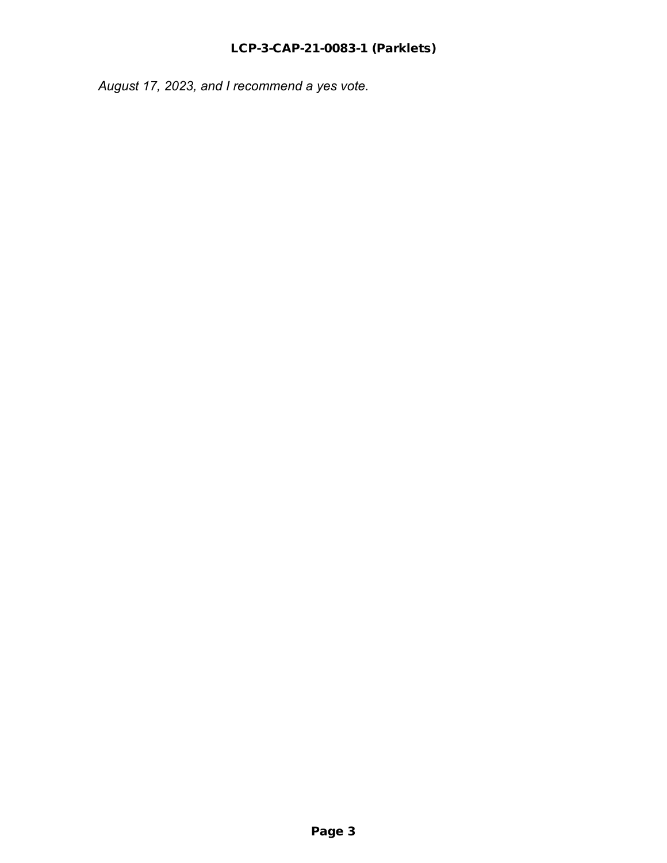*August 17, 2023, and I recommend a yes vote.*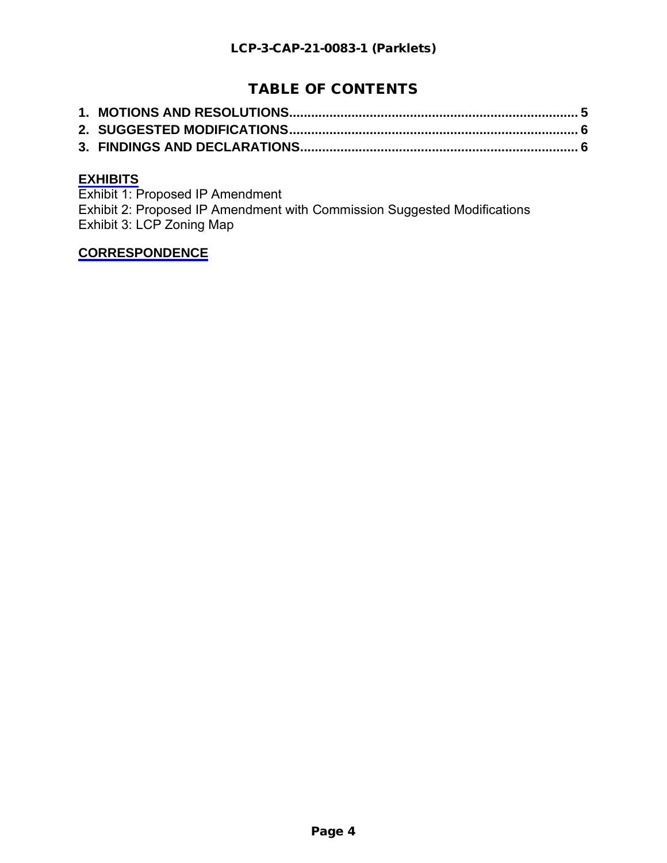# TABLE OF CONTENTS

### **[EXHIBITS](https://documents.coastal.ca.gov/reports/2022/6/f12a/f12a-6-2022-exhibits.pdf)**

Exhibit 1: Proposed IP Amendment Exhibit 2: Proposed IP Amendment with Commission Suggested Modifications Exhibit 3: LCP Zoning Map

### **[CORRESPONDENCE](https://documents.coastal.ca.gov/reports/2022/6/f12a/f12a-6-2022-corresp.pdf)**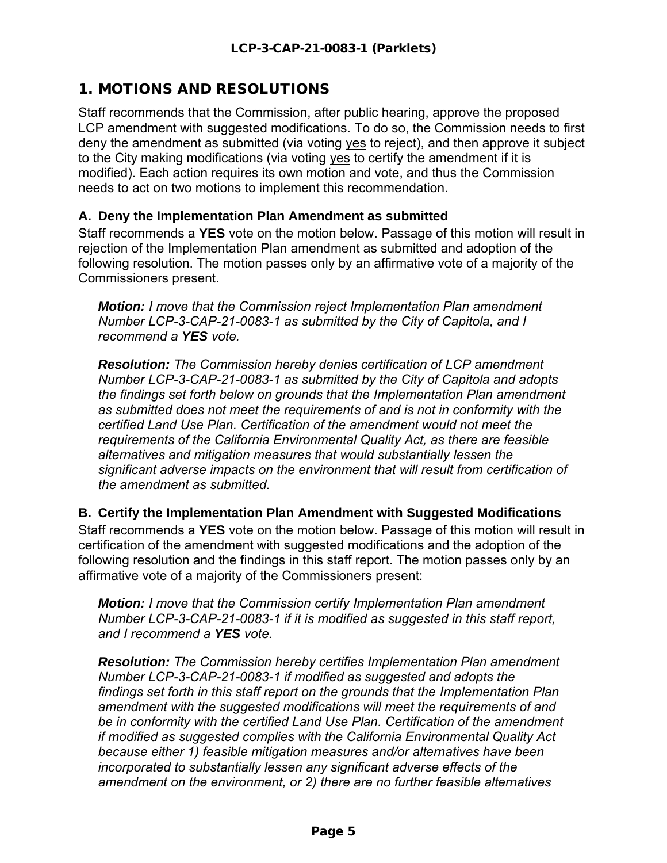# <span id="page-4-0"></span>1. MOTIONS AND RESOLUTIONS

Staff recommends that the Commission, after public hearing, approve the proposed LCP amendment with suggested modifications. To do so, the Commission needs to first deny the amendment as submitted (via voting yes to reject), and then approve it subject to the City making modifications (via voting yes to certify the amendment if it is modified). Each action requires its own motion and vote, and thus the Commission needs to act on two motions to implement this recommendation.

### **A. Deny the Implementation Plan Amendment as submitted**

Staff recommends a **YES** vote on the motion below. Passage of this motion will result in rejection of the Implementation Plan amendment as submitted and adoption of the following resolution. The motion passes only by an affirmative vote of a majority of the Commissioners present.

*Motion: I move that the Commission reject Implementation Plan amendment Number LCP-3-CAP-21-0083-1 as submitted by the City of Capitola, and I recommend a YES vote.*

*Resolution: The Commission hereby denies certification of LCP amendment Number LCP-3-CAP-21-0083-1 as submitted by the City of Capitola and adopts the findings set forth below on grounds that the Implementation Plan amendment as submitted does not meet the requirements of and is not in conformity with the certified Land Use Plan. Certification of the amendment would not meet the requirements of the California Environmental Quality Act, as there are feasible alternatives and mitigation measures that would substantially lessen the significant adverse impacts on the environment that will result from certification of the amendment as submitted.*

**B. Certify the Implementation Plan Amendment with Suggested Modifications** Staff recommends a **YES** vote on the motion below. Passage of this motion will result in certification of the amendment with suggested modifications and the adoption of the following resolution and the findings in this staff report. The motion passes only by an affirmative vote of a majority of the Commissioners present:

*Motion: I move that the Commission certify Implementation Plan amendment Number LCP-3-CAP-21-0083-1 if it is modified as suggested in this staff report, and I recommend a YES vote.* 

*Resolution: The Commission hereby certifies Implementation Plan amendment Number LCP-3-CAP-21-0083-1 if modified as suggested and adopts the findings set forth in this staff report on the grounds that the Implementation Plan amendment with the suggested modifications will meet the requirements of and be in conformity with the certified Land Use Plan. Certification of the amendment if modified as suggested complies with the California Environmental Quality Act because either 1) feasible mitigation measures and/or alternatives have been incorporated to substantially lessen any significant adverse effects of the amendment on the environment, or 2) there are no further feasible alternatives*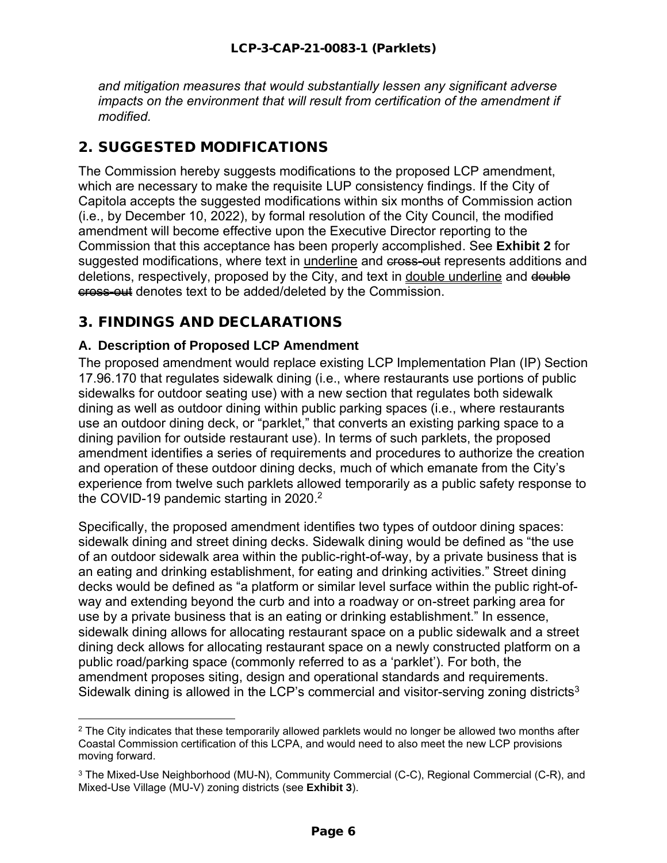*and mitigation measures that would substantially lessen any significant adverse impacts on the environment that will result from certification of the amendment if modified.*

## <span id="page-5-0"></span>2. SUGGESTED MODIFICATIONS

The Commission hereby suggests modifications to the proposed LCP amendment, which are necessary to make the requisite LUP consistency findings. If the City of Capitola accepts the suggested modifications within six months of Commission action (i.e., by December 10, 2022), by formal resolution of the City Council, the modified amendment will become effective upon the Executive Director reporting to the Commission that this acceptance has been properly accomplished. See **Exhibit 2** for suggested modifications, where text in underline and cross-out represents additions and deletions, respectively, proposed by the City, and text in double underline and double cross-out denotes text to be added/deleted by the Commission.

## <span id="page-5-1"></span>3. FINDINGS AND DECLARATIONS

### **A. Description of Proposed LCP Amendment**

The proposed amendment would replace existing LCP Implementation Plan (IP) Section 17.96.170 that regulates sidewalk dining (i.e., where restaurants use portions of public sidewalks for outdoor seating use) with a new section that regulates both sidewalk dining as well as outdoor dining within public parking spaces (i.e., where restaurants use an outdoor dining deck, or "parklet," that converts an existing parking space to a dining pavilion for outside restaurant use). In terms of such parklets, the proposed amendment identifies a series of requirements and procedures to authorize the creation and operation of these outdoor dining decks, much of which emanate from the City's experience from twelve such parklets allowed temporarily as a public safety response to the COVID-19 pandemic starting in 2020. $^{\rm 2}$ 

Specifically, the proposed amendment identifies two types of outdoor dining spaces: sidewalk dining and street dining decks. Sidewalk dining would be defined as "the use of an outdoor sidewalk area within the public-right-of-way, by a private business that is an eating and drinking establishment, for eating and drinking activities." Street dining decks would be defined as "a platform or similar level surface within the public right-ofway and extending beyond the curb and into a roadway or on-street parking area for use by a private business that is an eating or drinking establishment." In essence, sidewalk dining allows for allocating restaurant space on a public sidewalk and a street dining deck allows for allocating restaurant space on a newly constructed platform on a public road/parking space (commonly referred to as a 'parklet'). For both, the amendment proposes siting, design and operational standards and requirements. Sidewalk dining is allowed in the LCP's commercial and visitor-serving zoning districts<sup>3</sup>

<sup>&</sup>lt;sup>2</sup> The City indicates that these temporarily allowed parklets would no longer be allowed two months after Coastal Commission certification of this LCPA, and would need to also meet the new LCP provisions moving forward.

<sup>3</sup> The Mixed-Use Neighborhood (MU-N), Community Commercial (C-C), Regional Commercial (C-R), and Mixed-Use Village (MU-V) zoning districts (see **Exhibit 3**).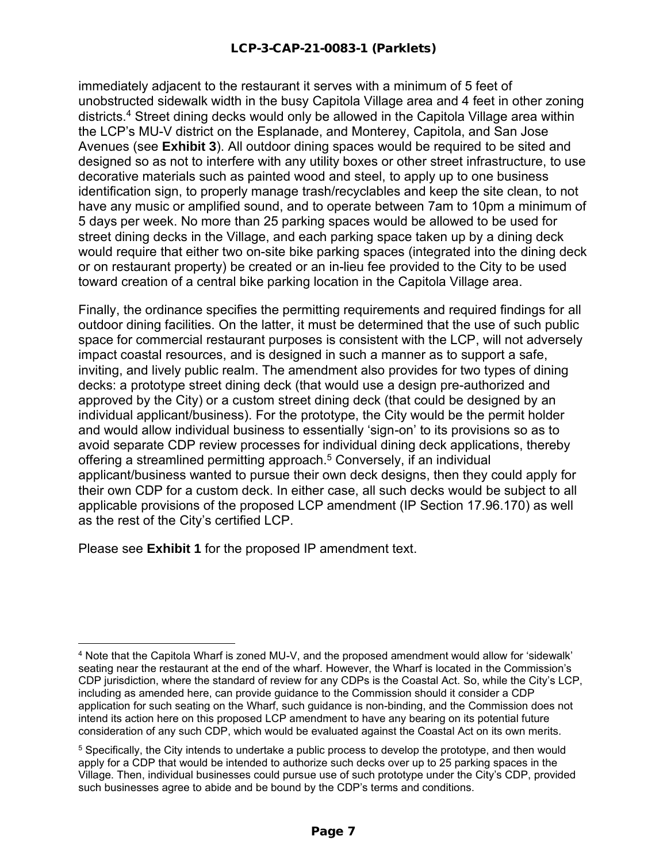immediately adjacent to the restaurant it serves with a minimum of 5 feet of unobstructed sidewalk width in the busy Capitola Village area and 4 feet in other zoning districts. <sup>4</sup> Street dining decks would only be allowed in the Capitola Village area within the LCP's MU-V district on the Esplanade, and Monterey, Capitola, and San Jose Avenues (see **Exhibit 3**). All outdoor dining spaces would be required to be sited and designed so as not to interfere with any utility boxes or other street infrastructure, to use decorative materials such as painted wood and steel, to apply up to one business identification sign, to properly manage trash/recyclables and keep the site clean, to not have any music or amplified sound, and to operate between 7am to 10pm a minimum of 5 days per week. No more than 25 parking spaces would be allowed to be used for street dining decks in the Village, and each parking space taken up by a dining deck would require that either two on-site bike parking spaces (integrated into the dining deck or on restaurant property) be created or an in-lieu fee provided to the City to be used toward creation of a central bike parking location in the Capitola Village area.

Finally, the ordinance specifies the permitting requirements and required findings for all outdoor dining facilities. On the latter, it must be determined that the use of such public space for commercial restaurant purposes is consistent with the LCP, will not adversely impact coastal resources, and is designed in such a manner as to support a safe, inviting, and lively public realm. The amendment also provides for two types of dining decks: a prototype street dining deck (that would use a design pre-authorized and approved by the City) or a custom street dining deck (that could be designed by an individual applicant/business). For the prototype, the City would be the permit holder and would allow individual business to essentially 'sign-on' to its provisions so as to avoid separate CDP review processes for individual dining deck applications, thereby offering a streamlined permitting approach. <sup>5</sup> Conversely, if an individual applicant/business wanted to pursue their own deck designs, then they could apply for their own CDP for a custom deck. In either case, all such decks would be subject to all applicable provisions of the proposed LCP amendment (IP Section 17.96.170) as well as the rest of the City's certified LCP.

Please see **Exhibit 1** for the proposed IP amendment text.

<sup>4</sup> Note that the Capitola Wharf is zoned MU-V, and the proposed amendment would allow for 'sidewalk' seating near the restaurant at the end of the wharf. However, the Wharf is located in the Commission's CDP jurisdiction, where the standard of review for any CDPs is the Coastal Act. So, while the City's LCP, including as amended here, can provide guidance to the Commission should it consider a CDP application for such seating on the Wharf, such guidance is non-binding, and the Commission does not intend its action here on this proposed LCP amendment to have any bearing on its potential future consideration of any such CDP, which would be evaluated against the Coastal Act on its own merits.

<sup>5</sup> Specifically, the City intends to undertake a public process to develop the prototype, and then would apply for a CDP that would be intended to authorize such decks over up to 25 parking spaces in the Village. Then, individual businesses could pursue use of such prototype under the City's CDP, provided such businesses agree to abide and be bound by the CDP's terms and conditions.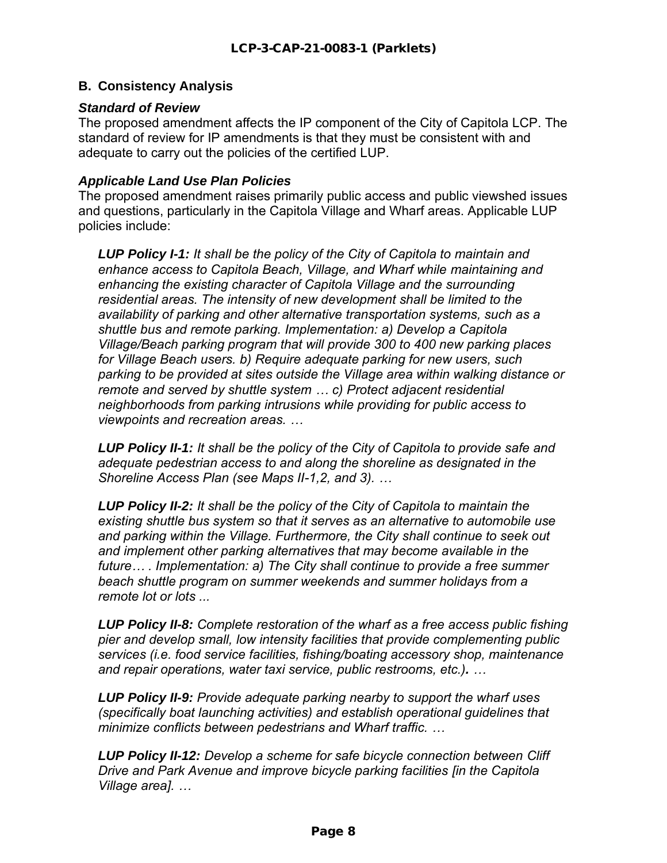### **B. Consistency Analysis**

### *Standard of Review*

The proposed amendment affects the IP component of the City of Capitola LCP. The standard of review for IP amendments is that they must be consistent with and adequate to carry out the policies of the certified LUP.

#### *Applicable Land Use Plan Policies*

The proposed amendment raises primarily public access and public viewshed issues and questions, particularly in the Capitola Village and Wharf areas. Applicable LUP policies include:

*LUP Policy I-1: It shall be the policy of the City of Capitola to maintain and enhance access to Capitola Beach, Village, and Wharf while maintaining and enhancing the existing character of Capitola Village and the surrounding residential areas. The intensity of new development shall be limited to the availability of parking and other alternative transportation systems, such as a shuttle bus and remote parking. Implementation: a) Develop a Capitola Village/Beach parking program that will provide 300 to 400 new parking places for Village Beach users. b) Require adequate parking for new users, such parking to be provided at sites outside the Village area within walking distance or remote and served by shuttle system … c) Protect adjacent residential neighborhoods from parking intrusions while providing for public access to viewpoints and recreation areas. …*

*LUP Policy II-1: It shall be the policy of the City of Capitola to provide safe and adequate pedestrian access to and along the shoreline as designated in the Shoreline Access Plan (see Maps II-1,2, and 3). …*

*LUP Policy II-2: It shall be the policy of the City of Capitola to maintain the existing shuttle bus system so that it serves as an alternative to automobile use and parking within the Village. Furthermore, the City shall continue to seek out and implement other parking alternatives that may become available in the future… . Implementation: a) The City shall continue to provide a free summer beach shuttle program on summer weekends and summer holidays from a remote lot or lots ...*

*LUP Policy II-8: Complete restoration of the wharf as a free access public fishing pier and develop small, low intensity facilities that provide complementing public services (i.e. food service facilities, fishing/boating accessory shop, maintenance and repair operations, water taxi service, public restrooms, etc.). …*

*LUP Policy II-9: Provide adequate parking nearby to support the wharf uses (specifically boat launching activities) and establish operational guidelines that minimize conflicts between pedestrians and Wharf traffic. …*

*LUP Policy II-12: Develop a scheme for safe bicycle connection between Cliff Drive and Park Avenue and improve bicycle parking facilities [in the Capitola Village area]. …*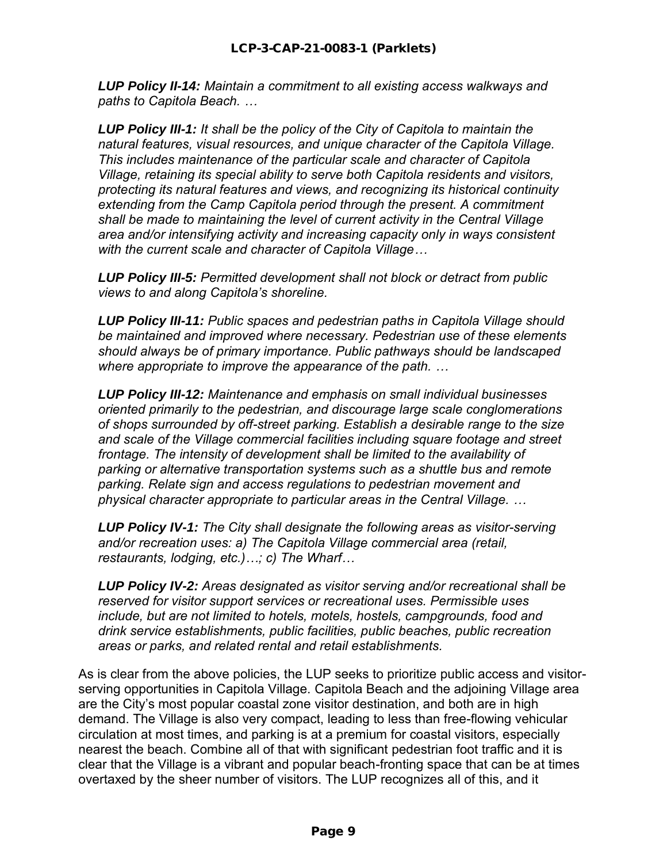*LUP Policy II-14: Maintain a commitment to all existing access walkways and paths to Capitola Beach. …*

*LUP Policy III-1: It shall be the policy of the City of Capitola to maintain the natural features, visual resources, and unique character of the Capitola Village. This includes maintenance of the particular scale and character of Capitola Village, retaining its special ability to serve both Capitola residents and visitors, protecting its natural features and views, and recognizing its historical continuity extending from the Camp Capitola period through the present. A commitment shall be made to maintaining the level of current activity in the Central Village area and/or intensifying activity and increasing capacity only in ways consistent with the current scale and character of Capitola Village…*

*LUP Policy III-5: Permitted development shall not block or detract from public views to and along Capitola's shoreline.*

*LUP Policy III-11: Public spaces and pedestrian paths in Capitola Village should be maintained and improved where necessary. Pedestrian use of these elements should always be of primary importance. Public pathways should be landscaped where appropriate to improve the appearance of the path. …*

*LUP Policy III-12: Maintenance and emphasis on small individual businesses oriented primarily to the pedestrian, and discourage large scale conglomerations of shops surrounded by off-street parking. Establish a desirable range to the size and scale of the Village commercial facilities including square footage and street frontage. The intensity of development shall be limited to the availability of parking or alternative transportation systems such as a shuttle bus and remote parking. Relate sign and access regulations to pedestrian movement and physical character appropriate to particular areas in the Central Village. …*

*LUP Policy IV-1: The City shall designate the following areas as visitor-serving and/or recreation uses: a) The Capitola Village commercial area (retail, restaurants, lodging, etc.)…; c) The Wharf…*

*LUP Policy IV-2: Areas designated as visitor serving and/or recreational shall be reserved for visitor support services or recreational uses. Permissible uses include, but are not limited to hotels, motels, hostels, campgrounds, food and drink service establishments, public facilities, public beaches, public recreation areas or parks, and related rental and retail establishments.*

As is clear from the above policies, the LUP seeks to prioritize public access and visitorserving opportunities in Capitola Village. Capitola Beach and the adjoining Village area are the City's most popular coastal zone visitor destination, and both are in high demand. The Village is also very compact, leading to less than free-flowing vehicular circulation at most times, and parking is at a premium for coastal visitors, especially nearest the beach. Combine all of that with significant pedestrian foot traffic and it is clear that the Village is a vibrant and popular beach-fronting space that can be at times overtaxed by the sheer number of visitors. The LUP recognizes all of this, and it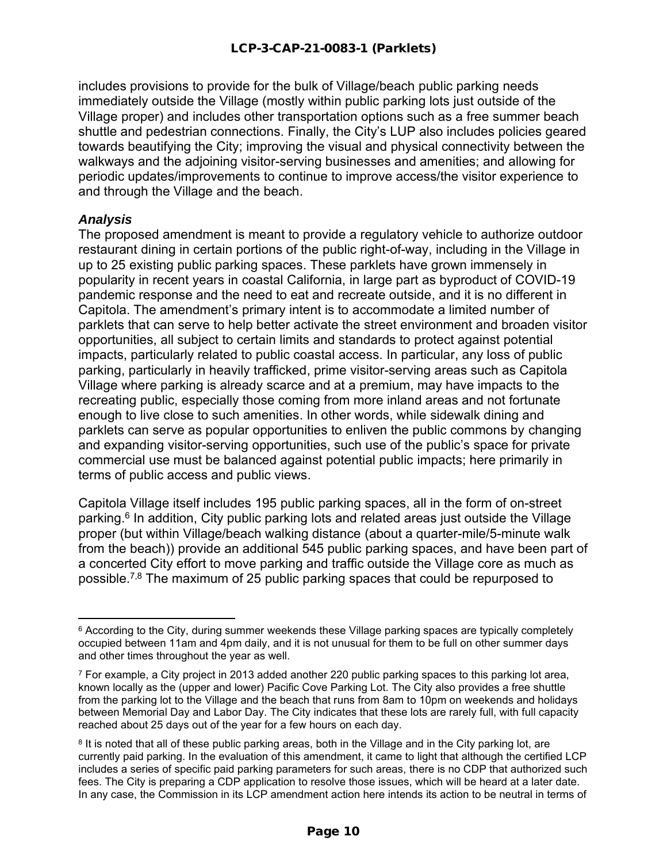includes provisions to provide for the bulk of Village/beach public parking needs immediately outside the Village (mostly within public parking lots just outside of the Village proper) and includes other transportation options such as a free summer beach shuttle and pedestrian connections. Finally, the City's LUP also includes policies geared towards beautifying the City; improving the visual and physical connectivity between the walkways and the adjoining visitor-serving businesses and amenities; and allowing for periodic updates/improvements to continue to improve access/the visitor experience to and through the Village and the beach.

### *Analysis*

The proposed amendment is meant to provide a regulatory vehicle to authorize outdoor restaurant dining in certain portions of the public right-of-way, including in the Village in up to 25 existing public parking spaces. These parklets have grown immensely in popularity in recent years in coastal California, in large part as byproduct of COVID-19 pandemic response and the need to eat and recreate outside, and it is no different in Capitola. The amendment's primary intent is to accommodate a limited number of parklets that can serve to help better activate the street environment and broaden visitor opportunities, all subject to certain limits and standards to protect against potential impacts, particularly related to public coastal access. In particular, any loss of public parking, particularly in heavily trafficked, prime visitor-serving areas such as Capitola Village where parking is already scarce and at a premium, may have impacts to the recreating public, especially those coming from more inland areas and not fortunate enough to live close to such amenities. In other words, while sidewalk dining and parklets can serve as popular opportunities to enliven the public commons by changing and expanding visitor-serving opportunities, such use of the public's space for private commercial use must be balanced against potential public impacts; here primarily in terms of public access and public views.

Capitola Village itself includes 195 public parking spaces, all in the form of on-street parking.<sup>6</sup> In addition, City public parking lots and related areas just outside the Village proper (but within Village/beach walking distance (about a quarter-mile/5-minute walk from the beach)) provide an additional 545 public parking spaces, and have been part of a concerted City effort to move parking and traffic outside the Village core as much as possible.7,8 The maximum of 25 public parking spaces that could be repurposed to

 $6$  According to the City, during summer weekends these Village parking spaces are typically completely occupied between 11am and 4pm daily, and it is not unusual for them to be full on other summer days and other times throughout the year as well.

 $7$  For example, a City project in 2013 added another 220 public parking spaces to this parking lot area, known locally as the (upper and lower) Pacific Cove Parking Lot. The City also provides a free shuttle from the parking lot to the Village and the beach that runs from 8am to 10pm on weekends and holidays between Memorial Day and Labor Day. The City indicates that these lots are rarely full, with full capacity reached about 25 days out of the year for a few hours on each day.

 $^8$  It is noted that all of these public parking areas, both in the Village and in the City parking lot, are currently paid parking. In the evaluation of this amendment, it came to light that although the certified LCP includes a series of specific paid parking parameters for such areas, there is no CDP that authorized such fees. The City is preparing a CDP application to resolve those issues, which will be heard at a later date. In any case, the Commission in its LCP amendment action here intends its action to be neutral in terms of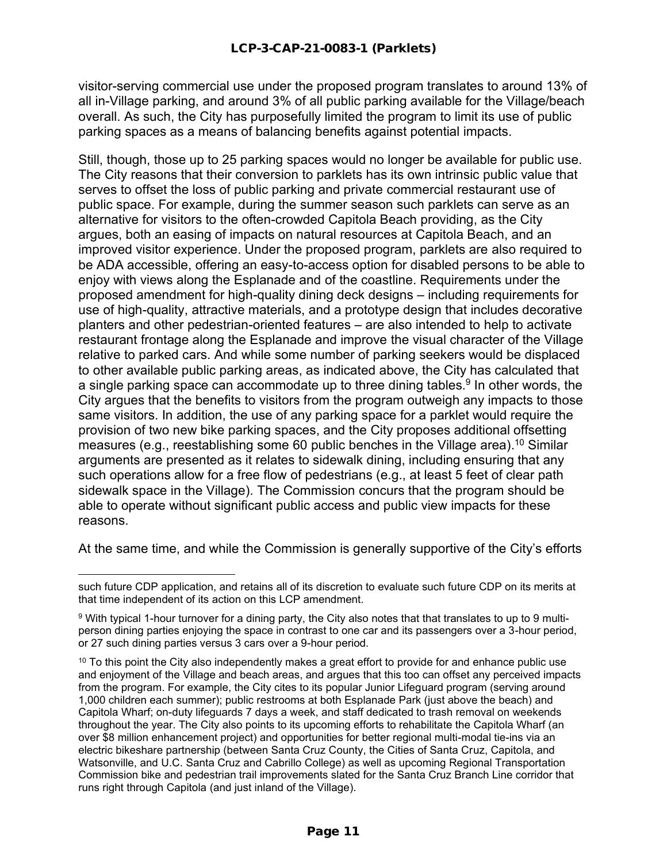visitor-serving commercial use under the proposed program translates to around 13% of all in-Village parking, and around 3% of all public parking available for the Village/beach overall. As such, the City has purposefully limited the program to limit its use of public parking spaces as a means of balancing benefits against potential impacts.

Still, though, those up to 25 parking spaces would no longer be available for public use. The City reasons that their conversion to parklets has its own intrinsic public value that serves to offset the loss of public parking and private commercial restaurant use of public space. For example, during the summer season such parklets can serve as an alternative for visitors to the often-crowded Capitola Beach providing, as the City argues, both an easing of impacts on natural resources at Capitola Beach, and an improved visitor experience. Under the proposed program, parklets are also required to be ADA accessible, offering an easy-to-access option for disabled persons to be able to enjoy with views along the Esplanade and of the coastline. Requirements under the proposed amendment for high-quality dining deck designs – including requirements for use of high-quality, attractive materials, and a prototype design that includes decorative planters and other pedestrian-oriented features – are also intended to help to activate restaurant frontage along the Esplanade and improve the visual character of the Village relative to parked cars. And while some number of parking seekers would be displaced to other available public parking areas, as indicated above, the City has calculated that a single parking space can accommodate up to three dining tables.<sup>9</sup> In other words, the City argues that the benefits to visitors from the program outweigh any impacts to those same visitors. In addition, the use of any parking space for a parklet would require the provision of two new bike parking spaces, and the City proposes additional offsetting measures (e.g., reestablishing some 60 public benches in the Village area). <sup>10</sup> Similar arguments are presented as it relates to sidewalk dining, including ensuring that any such operations allow for a free flow of pedestrians (e.g., at least 5 feet of clear path sidewalk space in the Village). The Commission concurs that the program should be able to operate without significant public access and public view impacts for these reasons.

At the same time, and while the Commission is generally supportive of the City's efforts

such future CDP application, and retains all of its discretion to evaluate such future CDP on its merits at that time independent of its action on this LCP amendment.

<sup>9</sup> With typical 1-hour turnover for a dining party, the City also notes that that translates to up to 9 multiperson dining parties enjoying the space in contrast to one car and its passengers over a 3-hour period, or 27 such dining parties versus 3 cars over a 9-hour period.

 $10$  To this point the City also independently makes a great effort to provide for and enhance public use and enjoyment of the Village and beach areas, and argues that this too can offset any perceived impacts from the program. For example, the City cites to its popular Junior Lifeguard program (serving around 1,000 children each summer); public restrooms at both Esplanade Park (just above the beach) and Capitola Wharf; on-duty lifeguards 7 days a week, and staff dedicated to trash removal on weekends throughout the year. The City also points to its upcoming efforts to rehabilitate the Capitola Wharf (an over \$8 million enhancement project) and opportunities for better regional multi-modal tie-ins via an electric bikeshare partnership (between Santa Cruz County, the Cities of Santa Cruz, Capitola, and Watsonville, and U.C. Santa Cruz and Cabrillo College) as well as upcoming Regional Transportation Commission bike and pedestrian trail improvements slated for the Santa Cruz Branch Line corridor that runs right through Capitola (and just inland of the Village).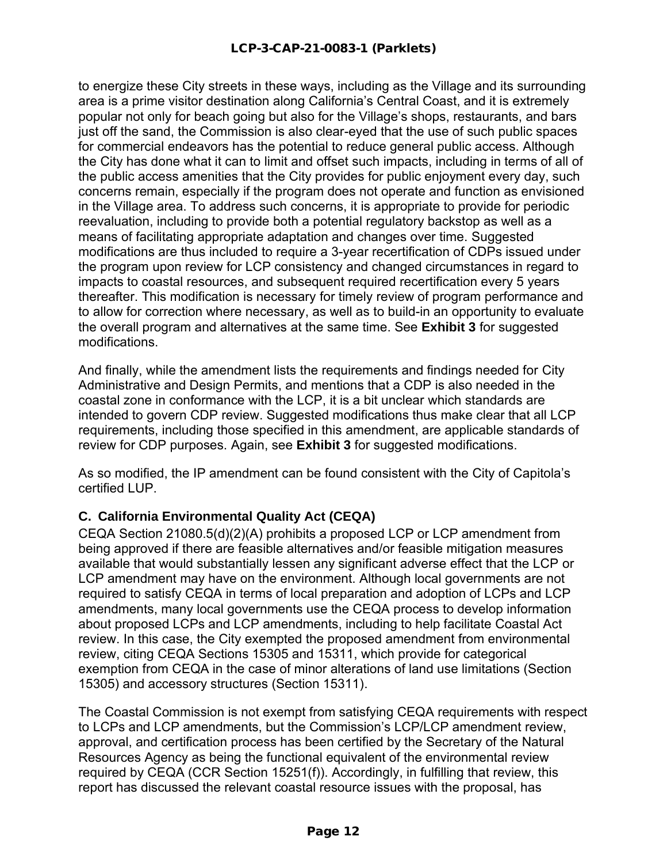to energize these City streets in these ways, including as the Village and its surrounding area is a prime visitor destination along California's Central Coast, and it is extremely popular not only for beach going but also for the Village's shops, restaurants, and bars just off the sand, the Commission is also clear-eyed that the use of such public spaces for commercial endeavors has the potential to reduce general public access. Although the City has done what it can to limit and offset such impacts, including in terms of all of the public access amenities that the City provides for public enjoyment every day, such concerns remain, especially if the program does not operate and function as envisioned in the Village area. To address such concerns, it is appropriate to provide for periodic reevaluation, including to provide both a potential regulatory backstop as well as a means of facilitating appropriate adaptation and changes over time. Suggested modifications are thus included to require a 3-year recertification of CDPs issued under the program upon review for LCP consistency and changed circumstances in regard to impacts to coastal resources, and subsequent required recertification every 5 years thereafter. This modification is necessary for timely review of program performance and to allow for correction where necessary, as well as to build-in an opportunity to evaluate the overall program and alternatives at the same time. See **Exhibit 3** for suggested modifications.

And finally, while the amendment lists the requirements and findings needed for City Administrative and Design Permits, and mentions that a CDP is also needed in the coastal zone in conformance with the LCP, it is a bit unclear which standards are intended to govern CDP review. Suggested modifications thus make clear that all LCP requirements, including those specified in this amendment, are applicable standards of review for CDP purposes. Again, see **Exhibit 3** for suggested modifications.

As so modified, the IP amendment can be found consistent with the City of Capitola's certified LUP.

### **C. California Environmental Quality Act (CEQA)**

CEQA Section 21080.5(d)(2)(A) prohibits a proposed LCP or LCP amendment from being approved if there are feasible alternatives and/or feasible mitigation measures available that would substantially lessen any significant adverse effect that the LCP or LCP amendment may have on the environment. Although local governments are not required to satisfy CEQA in terms of local preparation and adoption of LCPs and LCP amendments, many local governments use the CEQA process to develop information about proposed LCPs and LCP amendments, including to help facilitate Coastal Act review. In this case, the City exempted the proposed amendment from environmental review, citing CEQA Sections 15305 and 15311, which provide for categorical exemption from CEQA in the case of minor alterations of land use limitations (Section 15305) and accessory structures (Section 15311).

The Coastal Commission is not exempt from satisfying CEQA requirements with respect to LCPs and LCP amendments, but the Commission's LCP/LCP amendment review, approval, and certification process has been certified by the Secretary of the Natural Resources Agency as being the functional equivalent of the environmental review required by CEQA (CCR Section 15251(f)). Accordingly, in fulfilling that review, this report has discussed the relevant coastal resource issues with the proposal, has